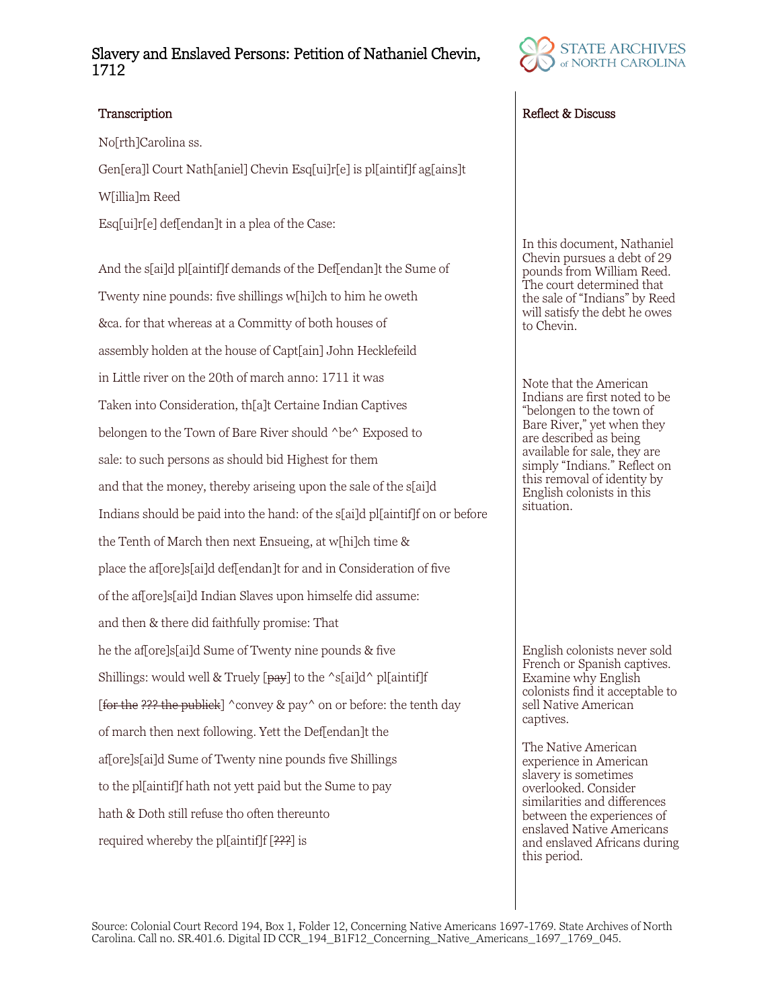## Slavery and Enslaved Persons: Petition of Nathaniel Chevin, 1712

No[rth]Carolina ss.

Gen[era]l Court Nath[aniel] Chevin Esq[ui]r[e] is pl[aintif]f ag[ains]t W[illia]m Reed

Esq[ui]r[e] def[endan]t in a plea of the Case:

And the s[ai]d pl[aintif]f demands of the Def[endan]t the Sume of Twenty nine pounds: five shillings w[hi]ch to him he oweth &ca. for that whereas at a Committy of both houses of assembly holden at the house of Capt[ain] John Hecklefeild in Little river on the 20th of march anno: 1711 it was Taken into Consideration, th[a]t Certaine Indian Captives belongen to the Town of Bare River should ^be^ Exposed to sale: to such persons as should bid Highest for them and that the money, thereby ariseing upon the sale of the s[ai]d Indians should be paid into the hand: of the s[ai]d pl[aintif]f on or before the Tenth of March then next Ensueing, at w[hi]ch time & place the af[ore]s[ai]d def[endan]t for and in Consideration of five of the af[ore]s[ai]d Indian Slaves upon himselfe did assume: and then & there did faithfully promise: That he the af[ore]s[ai]d Sume of Twenty nine pounds & five Shillings: would well & Truely  $\lceil \frac{pay}{pay} \rceil$  to the  $\lceil \frac{s}{q} \rceil$  ol [aintif]f [for the ??? the publick]  $\degree$  convey & pay $\degree$  on or before: the tenth day of march then next following. Yett the Def[endan]t the af[ore]s[ai]d Sume of Twenty nine pounds five Shillings to the pl[aintif]f hath not yett paid but the Sume to pay hath & Doth still refuse tho often thereunto required whereby the pl[aintif]f [???] is



## Transcription **Reflect & Discuss** Reflect & Discuss

In this document, Nathaniel Chevin pursues a debt of 29 pounds from William Reed. The court determined that the sale of "Indians" by Reed will satisfy the debt he owes to Chevin.

Note that the American Indians are first noted to be "belongen to the town of Bare River," yet when they are described as being available for sale, they are simply "Indians." Reflect on this removal of identity by English colonists in this situation.

English colonists never sold French or Spanish captives. Examine why English colonists find it acceptable to sell Native American captives.

The Native American experience in American slavery is sometimes overlooked. Consider similarities and differences between the experiences of enslaved Native Americans and enslaved Africans during this period.